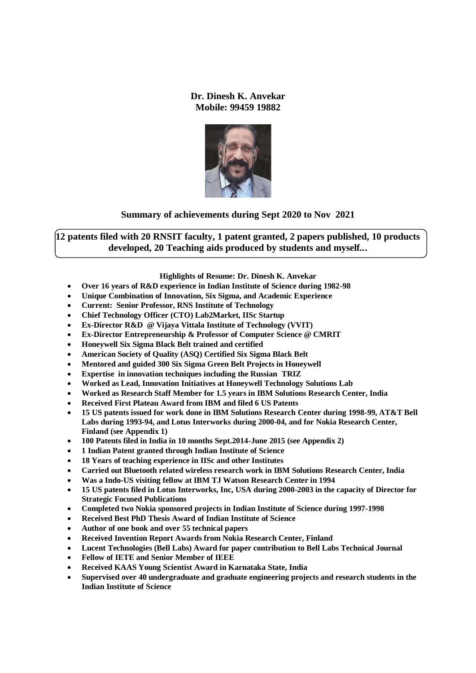#### **Dr. Dinesh K. Anvekar Mobile: 99459 19882**



### **Summary of achievements during Sept 2020 to Nov 2021**

**12 patents filed with 20 RNSIT faculty, 1 patent granted, 2 papers published, 10 products developed, 20 Teaching aids produced by students and myself...**

#### **Highlights of Resume: Dr. Dinesh K. Anvekar**

- **Over 16 years of R&D experience in Indian Institute of Science during 1982-98**
- **Unique Combination of Innovation, Six Sigma, and Academic Experience**
- **Current: Senior Professor, RNS Institute of Technology**
- **Chief Technology Officer (CTO) Lab2Market, IISc Startup**
- **Ex-Director R&D @ Vijaya Vittala Institute of Technology (VVIT)**
- **Ex-Director Entrepreneurship & Professor of Computer Science @ CMRIT**
- **Honeywell Six Sigma Black Belt trained and certified**
- **American Society of Quality (ASQ) Certified Six Sigma Black Belt**
- **Mentored and guided 300 Six Sigma Green Belt Projects in Honeywell**
- **Expertise in innovation techniques including the Russian TRIZ**
- **Worked as Lead, Innovation Initiatives at Honeywell Technology Solutions Lab**
- **Worked as Research Staff Member for 1.5 years in IBM Solutions Research Center, India**
- **Received First Plateau Award from IBM and filed 6 US Patents**
- **15 US patents issued for work done in IBM Solutions Research Center during 1998-99, AT&T Bell Labs during 1993-94, and Lotus Interworks during 2000-04, and for Nokia Research Center, Finland (see Appendix 1)**
- **100 Patents filed in India in 10 months Sept.2014-June 2015 (see Appendix 2)**
- **1 Indian Patent granted through Indian Institute of Science**
- **18 Years of teaching experience in IISc and other Institutes**
- **Carried out Bluetooth related wireless research work in IBM Solutions Research Center, India**
- **Was a Indo-US visiting fellow at IBM TJ Watson Research Center in 1994**
- **15 US patents filed in Lotus Interworks, Inc, USA during 2000-2003 in the capacity of Director for Strategic Focused Publications**
- **Completed two Nokia sponsored projects in Indian Institute of Science during 1997-1998**
- **Received Best PhD Thesis Award of Indian Institute of Science**
- **Author of one book and over 55 technical papers**
- **Received Invention Report Awards from Nokia Research Center, Finland**
- **Lucent Technologies (Bell Labs) Award for paper contribution to Bell Labs Technical Journal**
- **Fellow of IETE and Senior Member of IEEE**
- **Received KAAS Young Scientist Award in Karnataka State, India**
- **Supervised over 40 undergraduate and graduate engineering projects and research students in the Indian Institute of Science**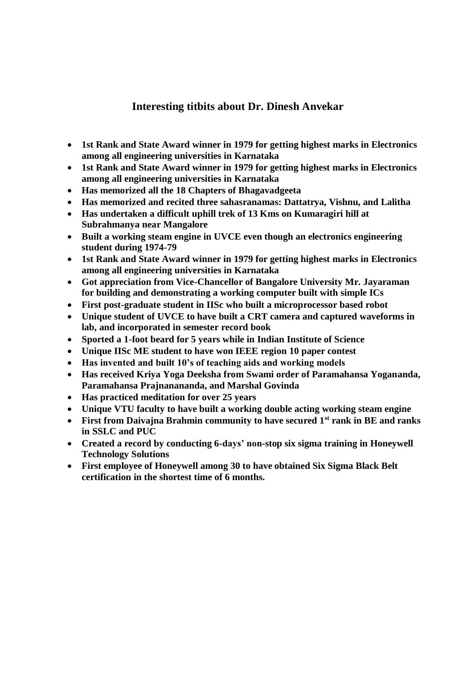# **Interesting titbits about Dr. Dinesh Anvekar**

- **1st Rank and State Award winner in 1979 for getting highest marks in Electronics among all engineering universities in Karnataka**
- **1st Rank and State Award winner in 1979 for getting highest marks in Electronics among all engineering universities in Karnataka**
- **Has memorized all the 18 Chapters of Bhagavadgeeta**
- **Has memorized and recited three sahasranamas: Dattatrya, Vishnu, and Lalitha**
- **Has undertaken a difficult uphill trek of 13 Kms on Kumaragiri hill at Subrahmanya near Mangalore**
- **Built a working steam engine in UVCE even though an electronics engineering student during 1974-79**
- **1st Rank and State Award winner in 1979 for getting highest marks in Electronics among all engineering universities in Karnataka**
- **Got appreciation from Vice-Chancellor of Bangalore University Mr. Jayaraman for building and demonstrating a working computer built with simple ICs**
- **First post-graduate student in IISc who built a microprocessor based robot**
- **Unique student of UVCE to have built a CRT camera and captured waveforms in lab, and incorporated in semester record book**
- **Sported a 1-foot beard for 5 years while in Indian Institute of Science**
- **Unique IISc ME student to have won IEEE region 10 paper contest**
- **Has invented and built 10's of teaching aids and working models**
- **Has received Kriya Yoga Deeksha from Swami order of Paramahansa Yogananda, Paramahansa Prajnanananda, and Marshal Govinda**
- **Has practiced meditation for over 25 years**
- **Unique VTU faculty to have built a working double acting working steam engine**
- **First from Daivajna Brahmin community to have secured 1st rank in BE and ranks in SSLC and PUC**
- **Created a record by conducting 6-days' non-stop six sigma training in Honeywell Technology Solutions**
- **First employee of Honeywell among 30 to have obtained Six Sigma Black Belt certification in the shortest time of 6 months.**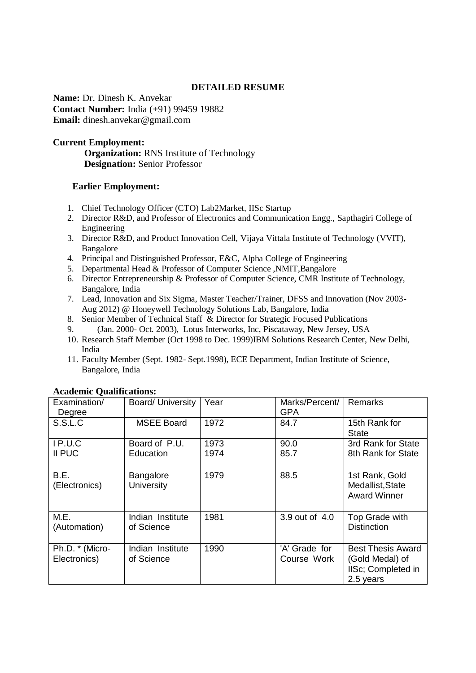### **DETAILED RESUME**

**Name:** Dr. Dinesh K. Anvekar **Contact Number:** India (+91) 99459 19882 **Email:** dinesh.anvekar@gmail.com

## **Current Employment:**

 **Organization:** RNS Institute of Technology  **Designation:** Senior Professor

## **Earlier Employment:**

- 1. Chief Technology Officer (CTO) Lab2Market, IISc Startup
- 2. Director R&D, and Professor of Electronics and Communication Engg., Sapthagiri College of Engineering
- 3. Director R&D, and Product Innovation Cell, Vijaya Vittala Institute of Technology (VVIT), Bangalore
- 4. Principal and Distinguished Professor, E&C, Alpha College of Engineering
- 5. Departmental Head & Professor of Computer Science ,NMIT,Bangalore
- 6. Director Entrepreneurship & Professor of Computer Science, CMR Institute of Technology, Bangalore, India
- 7. Lead, Innovation and Six Sigma, Master Teacher/Trainer, DFSS and Innovation (Nov 2003- Aug 2012) @ Honeywell Technology Solutions Lab, Bangalore, India
- 8. Senior Member of Technical Staff & Director for Strategic Focused Publications
- 9. (Jan. 2000- Oct. 2003), Lotus Interworks, Inc, Piscataway, New Jersey, USA
- 10. Research Staff Member (Oct 1998 to Dec. 1999)IBM Solutions Research Center, New Delhi, India
- 11. Faculty Member (Sept. 1982- Sept.1998), ECE Department, Indian Institute of Science, Bangalore, India

| Examination/<br>Degree          | <b>Board/ University</b>       | Year         | Marks/Percent/<br><b>GPA</b> | <b>Remarks</b>                                                                 |
|---------------------------------|--------------------------------|--------------|------------------------------|--------------------------------------------------------------------------------|
| S.S.L.C                         | <b>MSEE Board</b>              | 1972         | 84.7                         | 15th Rank for<br>State                                                         |
| IP.U.C<br>II PUC                | Board of P.U.<br>Education     | 1973<br>1974 | 90.0<br>85.7                 | 3rd Rank for State<br>8th Rank for State                                       |
| B.E.<br>(Electronics)           | <b>Bangalore</b><br>University | 1979         | 88.5                         | 1st Rank, Gold<br>Medallist, State<br><b>Award Winner</b>                      |
| M.E.<br>(Automation)            | Indian Institute<br>of Science | 1981         | 3.9 out of 4.0               | Top Grade with<br><b>Distinction</b>                                           |
| Ph.D. * (Micro-<br>Electronics) | Indian Institute<br>of Science | 1990         | 'A' Grade for<br>Course Work | <b>Best Thesis Award</b><br>(Gold Medal) of<br>IISc; Completed in<br>2.5 years |

#### **Academic Qualifications:**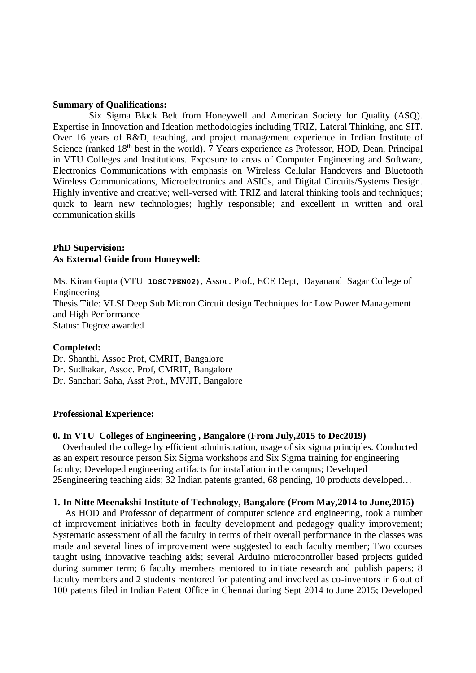#### **Summary of Qualifications:**

 Six Sigma Black Belt from Honeywell and American Society for Quality (ASQ). Expertise in Innovation and Ideation methodologies including TRIZ, Lateral Thinking, and SIT. Over 16 years of R&D, teaching, and project management experience in Indian Institute of Science (ranked 18<sup>th</sup> best in the world). 7 Years experience as Professor, HOD, Dean, Principal in VTU Colleges and Institutions. Exposure to areas of Computer Engineering and Software, Electronics Communications with emphasis on Wireless Cellular Handovers and Bluetooth Wireless Communications, Microelectronics and ASICs, and Digital Circuits/Systems Design. Highly inventive and creative; well-versed with TRIZ and lateral thinking tools and techniques; quick to learn new technologies; highly responsible; and excellent in written and oral communication skills

#### **PhD Supervision: As External Guide from Honeywell:**

Ms. Kiran Gupta (VTU **1DS07PEN02)**, Assoc. Prof., ECE Dept, Dayanand Sagar College of Engineering Thesis Title: VLSI Deep Sub Micron Circuit design Techniques for Low Power Management and High Performance Status: Degree awarded

#### **Completed:**

Dr. Shanthi, Assoc Prof, CMRIT, Bangalore Dr. Sudhakar, Assoc. Prof, CMRIT, Bangalore Dr. Sanchari Saha, Asst Prof., MVJIT, Bangalore

#### **Professional Experience:**

#### **0. In VTU Colleges of Engineering , Bangalore (From July,2015 to Dec2019)**

Overhauled the college by efficient administration, usage of six sigma principles. Conducted as an expert resource person Six Sigma workshops and Six Sigma training for engineering faculty; Developed engineering artifacts for installation in the campus; Developed 25engineering teaching aids; 32 Indian patents granted, 68 pending, 10 products developed…

#### **1. In Nitte Meenakshi Institute of Technology, Bangalore (From May,2014 to June,2015)**

 As HOD and Professor of department of computer science and engineering, took a number of improvement initiatives both in faculty development and pedagogy quality improvement; Systematic assessment of all the faculty in terms of their overall performance in the classes was made and several lines of improvement were suggested to each faculty member; Two courses taught using innovative teaching aids; several Arduino microcontroller based projects guided during summer term; 6 faculty members mentored to initiate research and publish papers; 8 faculty members and 2 students mentored for patenting and involved as co-inventors in 6 out of 100 patents filed in Indian Patent Office in Chennai during Sept 2014 to June 2015; Developed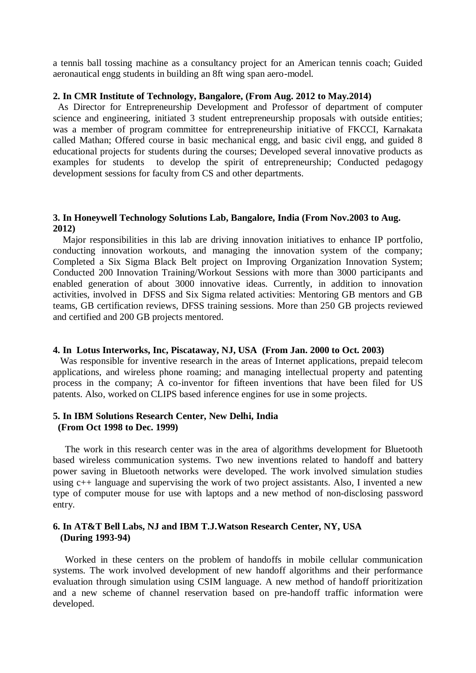a tennis ball tossing machine as a consultancy project for an American tennis coach; Guided aeronautical engg students in building an 8ft wing span aero-model.

#### **2. In CMR Institute of Technology, Bangalore, (From Aug. 2012 to May.2014)**

As Director for Entrepreneurship Development and Professor of department of computer science and engineering, initiated 3 student entrepreneurship proposals with outside entities; was a member of program committee for entrepreneurship initiative of FKCCI, Karnakata called Mathan; Offered course in basic mechanical engg, and basic civil engg, and guided 8 educational projects for students during the courses; Developed several innovative products as examples for students to develop the spirit of entrepreneurship; Conducted pedagogy development sessions for faculty from CS and other departments.

#### **3. In Honeywell Technology Solutions Lab, Bangalore, India (From Nov.2003 to Aug. 2012)**

Major responsibilities in this lab are driving innovation initiatives to enhance IP portfolio, conducting innovation workouts, and managing the innovation system of the company; Completed a Six Sigma Black Belt project on Improving Organization Innovation System; Conducted 200 Innovation Training/Workout Sessions with more than 3000 participants and enabled generation of about 3000 innovative ideas. Currently, in addition to innovation activities, involved in DFSS and Six Sigma related activities: Mentoring GB mentors and GB teams, GB certification reviews, DFSS training sessions. More than 250 GB projects reviewed and certified and 200 GB projects mentored.

#### **4. In Lotus Interworks, Inc, Piscataway, NJ, USA (From Jan. 2000 to Oct. 2003)**

 Was responsible for inventive research in the areas of Internet applications, prepaid telecom applications, and wireless phone roaming; and managing intellectual property and patenting process in the company; A co-inventor for fifteen inventions that have been filed for US patents. Also, worked on CLIPS based inference engines for use in some projects.

## **5. In IBM Solutions Research Center, New Delhi, India (From Oct 1998 to Dec. 1999)**

 The work in this research center was in the area of algorithms development for Bluetooth based wireless communication systems. Two new inventions related to handoff and battery power saving in Bluetooth networks were developed. The work involved simulation studies using  $c++$  language and supervising the work of two project assistants. Also, I invented a new type of computer mouse for use with laptops and a new method of non-disclosing password entry.

#### **6. In AT&T Bell Labs, NJ and IBM T.J.Watson Research Center, NY, USA (During 1993-94)**

 Worked in these centers on the problem of handoffs in mobile cellular communication systems. The work involved development of new handoff algorithms and their performance evaluation through simulation using CSIM language. A new method of handoff prioritization and a new scheme of channel reservation based on pre-handoff traffic information were developed.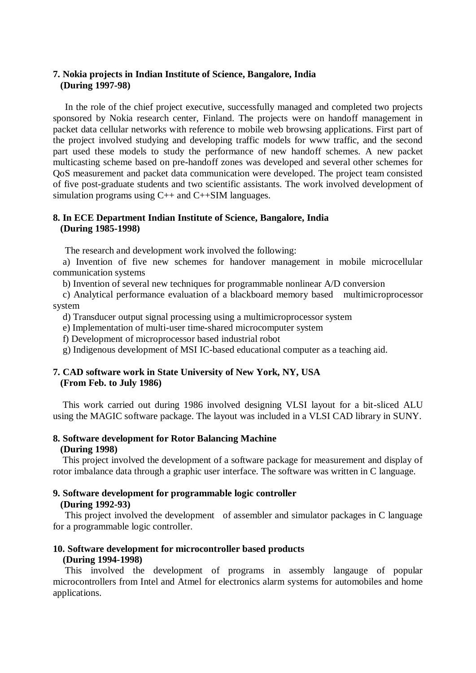### **7. Nokia projects in Indian Institute of Science, Bangalore, India (During 1997-98)**

 In the role of the chief project executive, successfully managed and completed two projects sponsored by Nokia research center, Finland. The projects were on handoff management in packet data cellular networks with reference to mobile web browsing applications. First part of the project involved studying and developing traffic models for www traffic, and the second part used these models to study the performance of new handoff schemes. A new packet multicasting scheme based on pre-handoff zones was developed and several other schemes for QoS measurement and packet data communication were developed. The project team consisted of five post-graduate students and two scientific assistants. The work involved development of simulation programs using C++ and C++SIM languages.

## **8. In ECE Department Indian Institute of Science, Bangalore, India (During 1985-1998)**

The research and development work involved the following:

 a) Invention of five new schemes for handover management in mobile microcellular communication systems

b) Invention of several new techniques for programmable nonlinear A/D conversion

 c) Analytical performance evaluation of a blackboard memory based multimicroprocessor system

d) Transducer output signal processing using a multimicroprocessor system

e) Implementation of multi-user time-shared microcomputer system

f) Development of microprocessor based industrial robot

g) Indigenous development of MSI IC-based educational computer as a teaching aid.

### **7. CAD software work in State University of New York, NY, USA (From Feb. to July 1986)**

 This work carried out during 1986 involved designing VLSI layout for a bit-sliced ALU using the MAGIC software package. The layout was included in a VLSI CAD library in SUNY.

#### **8. Software development for Rotor Balancing Machine (During 1998)**

 This project involved the development of a software package for measurement and display of rotor imbalance data through a graphic user interface. The software was written in C language.

# **9. Software development for programmable logic controller**

### **(During 1992-93)**

 This project involved the development of assembler and simulator packages in C language for a programmable logic controller.

# **10. Software development for microcontroller based products**

## **(During 1994-1998)**

 This involved the development of programs in assembly langauge of popular microcontrollers from Intel and Atmel for electronics alarm systems for automobiles and home applications.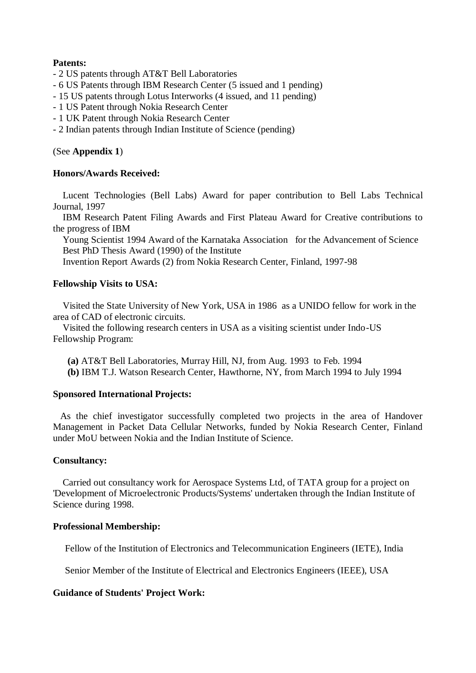## **Patents:**

- 2 US patents through AT&T Bell Laboratories
- 6 US Patents through IBM Research Center (5 issued and 1 pending)
- 15 US patents through Lotus Interworks (4 issued, and 11 pending)
- 1 US Patent through Nokia Research Center
- 1 UK Patent through Nokia Research Center
- 2 Indian patents through Indian Institute of Science (pending)

## (See **Appendix 1**)

## **Honors/Awards Received:**

 Lucent Technologies (Bell Labs) Award for paper contribution to Bell Labs Technical Journal, 1997

 IBM Research Patent Filing Awards and First Plateau Award for Creative contributions to the progress of IBM

 Young Scientist 1994 Award of the Karnataka Association for the Advancement of Science Best PhD Thesis Award (1990) of the Institute

Invention Report Awards (2) from Nokia Research Center, Finland, 1997-98

## **Fellowship Visits to USA:**

 Visited the State University of New York, USA in 1986 as a UNIDO fellow for work in the area of CAD of electronic circuits.

 Visited the following research centers in USA as a visiting scientist under Indo-US Fellowship Program:

- **(a)** AT&T Bell Laboratories, Murray Hill, NJ, from Aug. 1993 to Feb. 1994
- **(b)** IBM T.J. Watson Research Center, Hawthorne, NY, from March 1994 to July 1994

### **Sponsored International Projects:**

 As the chief investigator successfully completed two projects in the area of Handover Management in Packet Data Cellular Networks, funded by Nokia Research Center, Finland under MoU between Nokia and the Indian Institute of Science.

### **Consultancy:**

 Carried out consultancy work for Aerospace Systems Ltd, of TATA group for a project on 'Development of Microelectronic Products/Systems' undertaken through the Indian Institute of Science during 1998.

### **Professional Membership:**

Fellow of the Institution of Electronics and Telecommunication Engineers (IETE), India

Senior Member of the Institute of Electrical and Electronics Engineers (IEEE), USA

### **Guidance of Students' Project Work:**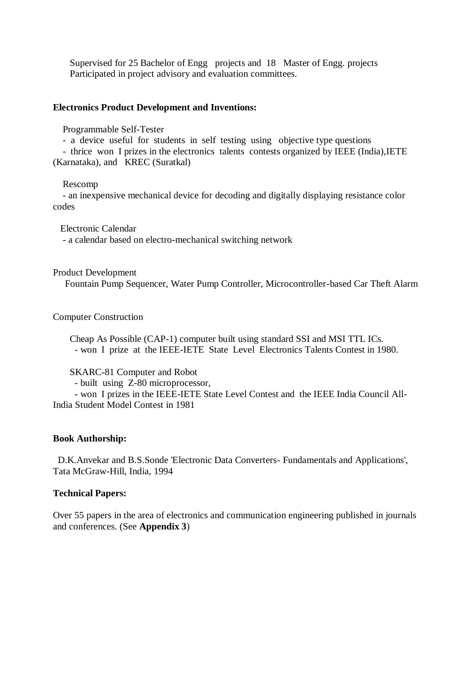Supervised for 25 Bachelor of Engg projects and 18 Master of Engg. projects Participated in project advisory and evaluation committees.

#### **Electronics Product Development and Inventions:**

Programmable Self-Tester

- a device useful for students in self testing using objective type questions

 - thrice won I prizes in the electronics talents contests organized by IEEE (India),IETE (Karnataka), and KREC (Suratkal)

#### Rescomp

 - an inexpensive mechanical device for decoding and digitally displaying resistance color codes

 Electronic Calendar - a calendar based on electro-mechanical switching network

Product Development

Fountain Pump Sequencer, Water Pump Controller, Microcontroller-based Car Theft Alarm

Computer Construction

 Cheap As Possible (CAP-1) computer built using standard SSI and MSI TTL ICs. - won I prize at the IEEE-IETE State Level Electronics Talents Contest in 1980.

SKARC-81 Computer and Robot

- built using Z-80 microprocessor,

 - won I prizes in the IEEE-IETE State Level Contest and the IEEE India Council All-India Student Model Contest in 1981

#### **Book Authorship:**

 D.K.Anvekar and B.S.Sonde 'Electronic Data Converters- Fundamentals and Applications', Tata McGraw-Hill, India, 1994

#### **Technical Papers:**

Over 55 papers in the area of electronics and communication engineering published in journals and conferences. (See **Appendix 3**)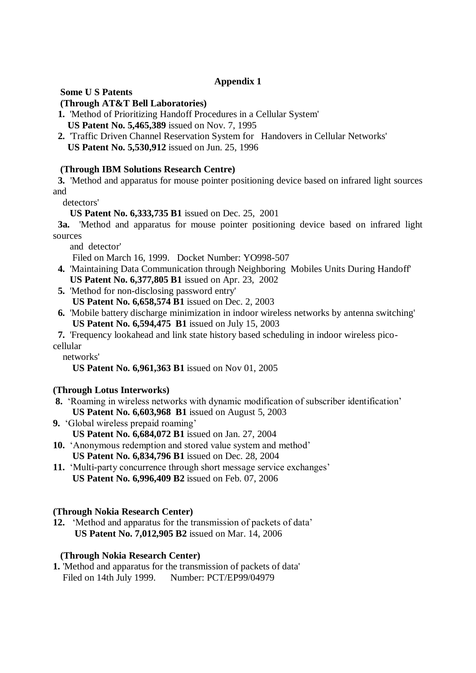## **Appendix 1**

**Some U S Patents**

## **(Through AT&T Bell Laboratories)**

- **1.** 'Method of Prioritizing Handoff Procedures in a Cellular System' **US Patent No. 5,465,389** issued on Nov. 7, 1995
- **2.** 'Traffic Driven Channel Reservation System for Handovers in Cellular Networks' **US Patent No. 5,530,912** issued on Jun. 25, 1996

# **(Through IBM Solutions Research Centre)**

 **3.** 'Method and apparatus for mouse pointer positioning device based on infrared light sources and

detectors'

**US Patent No. 6,333,735 B1** issued on Dec. 25, 2001

 **3a.** 'Method and apparatus for mouse pointer positioning device based on infrared light sources

and detector'

Filed on March 16, 1999. Docket Number: YO998-507

- **4.** 'Maintaining Data Communication through Neighboring Mobiles Units During Handoff' **US Patent No. 6,377,805 B1** issued on Apr. 23, 2002
- **5.** 'Method for non-disclosing password entry' **US Patent No. 6,658,574 B1** issued on Dec. 2, 2003
- **6.** 'Mobile battery discharge minimization in indoor wireless networks by antenna switching' **US Patent No. 6,594,475 B1** issued on July 15, 2003

 **7.** 'Frequency lookahead and link state history based scheduling in indoor wireless picocellular

networks'

**US Patent No. 6,961,363 B1** issued on Nov 01, 2005

## **(Through Lotus Interworks)**

- **8.** 'Roaming in wireless networks with dynamic modification of subscriber identification' **US Patent No. 6,603,968 B1** issued on August 5, 2003
- **9.** 'Global wireless prepaid roaming' **US Patent No. 6,684,072 B1** issued on Jan. 27, 2004
- **10.** 'Anonymous redemption and stored value system and method' **US Patent No. 6,834,796 B1** issued on Dec. 28, 2004
- **11.** 'Multi-party concurrence through short message service exchanges' **US Patent No. 6,996,409 B2** issued on Feb. 07, 2006

## **(Through Nokia Research Center)**

**12.** 'Method and apparatus for the transmission of packets of data'  **US Patent No. 7,012,905 B2** issued on Mar. 14, 2006

## **(Through Nokia Research Center)**

**1.** 'Method and apparatus for the transmission of packets of data' Filed on 14th July 1999. Number: PCT/EP99/04979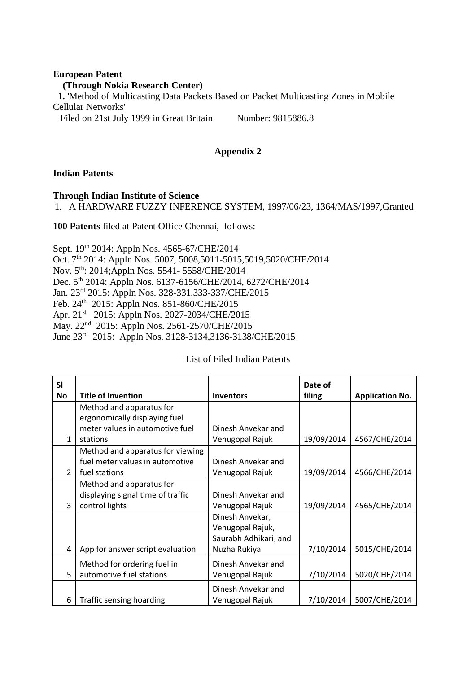## **European Patent (Through Nokia Research Center) 1.** 'Method of Multicasting Data Packets Based on Packet Multicasting Zones in Mobile Cellular Networks' Filed on 21st July 1999 in Great Britain Number: 9815886.8

**Appendix 2**

## **Indian Patents**

### **Through Indian Institute of Science**

1. A HARDWARE FUZZY INFERENCE SYSTEM, 1997/06/23, 1364/MAS/1997,Granted

**100 Patents** filed at Patent Office Chennai, follows:

Sept. 19th 2014: Appln Nos. 4565-67/CHE/2014 Oct. 7th 2014: Appln Nos. 5007, 5008,5011-5015,5019,5020/CHE/2014 Nov. 5th: 2014;Appln Nos. 5541- 5558/CHE/2014 Dec. 5th 2014: Appln Nos. 6137-6156/CHE/2014, 6272/CHE/2014 Jan. 23rd 2015: Appln Nos. 328-331,333-337/CHE/2015 Feb. 24<sup>th</sup> 2015: Appln Nos. 851-860/CHE/2015 Apr. 21<sup>st</sup> 2015: Appln Nos. 2027-2034/CHE/2015 May. 22nd 2015: Appln Nos. 2561-2570/CHE/2015 June 23rd 2015: Appln Nos. 3128-3134,3136-3138/CHE/2015

### List of Filed Indian Patents

| <b>SI</b>     |                                   |                       | Date of    |                        |
|---------------|-----------------------------------|-----------------------|------------|------------------------|
| <b>No</b>     | <b>Title of Invention</b>         | <b>Inventors</b>      | filing     | <b>Application No.</b> |
|               | Method and apparatus for          |                       |            |                        |
|               | ergonomically displaying fuel     |                       |            |                        |
|               | meter values in automotive fuel   | Dinesh Anvekar and    |            |                        |
| 1             | stations                          | Venugopal Rajuk       | 19/09/2014 | 4567/CHE/2014          |
|               | Method and apparatus for viewing  |                       |            |                        |
|               | fuel meter values in automotive   | Dinesh Anvekar and    |            |                        |
| $\mathcal{P}$ | fuel stations                     | Venugopal Rajuk       | 19/09/2014 | 4566/CHE/2014          |
|               | Method and apparatus for          |                       |            |                        |
|               | displaying signal time of traffic | Dinesh Anvekar and    |            |                        |
| 3             | control lights                    | Venugopal Rajuk       | 19/09/2014 | 4565/CHE/2014          |
|               |                                   | Dinesh Anvekar,       |            |                        |
|               |                                   | Venugopal Rajuk,      |            |                        |
|               |                                   | Saurabh Adhikari, and |            |                        |
| 4             | App for answer script evaluation  | Nuzha Rukiya          | 7/10/2014  | 5015/CHE/2014          |
|               | Method for ordering fuel in       | Dinesh Anvekar and    |            |                        |
| 5             | automotive fuel stations          | Venugopal Rajuk       | 7/10/2014  | 5020/CHE/2014          |
|               |                                   | Dinesh Anvekar and    |            |                        |
| 6             | Traffic sensing hoarding          | Venugopal Rajuk       | 7/10/2014  | 5007/CHE/2014          |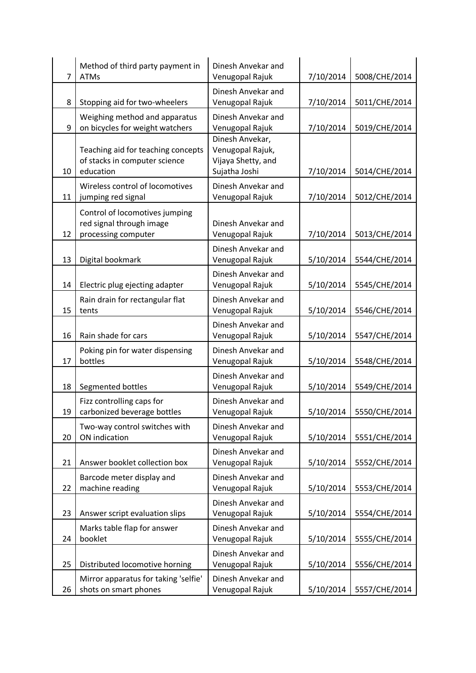| 7  | Method of third party payment in<br><b>ATMs</b>                                   | Dinesh Anvekar and<br>Venugopal Rajuk                                      | 7/10/2014 | 5008/CHE/2014 |
|----|-----------------------------------------------------------------------------------|----------------------------------------------------------------------------|-----------|---------------|
| 8  | Stopping aid for two-wheelers                                                     | Dinesh Anvekar and<br>Venugopal Rajuk                                      | 7/10/2014 | 5011/CHE/2014 |
| 9  | Weighing method and apparatus<br>on bicycles for weight watchers                  | Dinesh Anvekar and<br>Venugopal Rajuk                                      | 7/10/2014 | 5019/CHE/2014 |
| 10 | Teaching aid for teaching concepts<br>of stacks in computer science<br>education  | Dinesh Anvekar,<br>Venugopal Rajuk,<br>Vijaya Shetty, and<br>Sujatha Joshi | 7/10/2014 | 5014/CHE/2014 |
| 11 | Wireless control of locomotives<br>jumping red signal                             | Dinesh Anvekar and<br>Venugopal Rajuk                                      | 7/10/2014 | 5012/CHE/2014 |
| 12 | Control of locomotives jumping<br>red signal through image<br>processing computer | Dinesh Anvekar and<br>Venugopal Rajuk                                      | 7/10/2014 | 5013/CHE/2014 |
| 13 | Digital bookmark                                                                  | Dinesh Anvekar and<br>Venugopal Rajuk                                      | 5/10/2014 | 5544/CHE/2014 |
| 14 | Electric plug ejecting adapter                                                    | Dinesh Anvekar and<br>Venugopal Rajuk                                      | 5/10/2014 | 5545/CHE/2014 |
| 15 | Rain drain for rectangular flat<br>tents                                          | Dinesh Anvekar and<br>Venugopal Rajuk                                      | 5/10/2014 | 5546/CHE/2014 |
| 16 | Rain shade for cars                                                               | Dinesh Anvekar and<br>Venugopal Rajuk                                      | 5/10/2014 | 5547/CHE/2014 |
| 17 | Poking pin for water dispensing<br>bottles                                        | Dinesh Anvekar and<br>Venugopal Rajuk                                      | 5/10/2014 | 5548/CHE/2014 |
| 18 | Segmented bottles                                                                 | Dinesh Anvekar and<br>Venugopal Rajuk                                      | 5/10/2014 | 5549/CHE/2014 |
| 19 | Fizz controlling caps for<br>carbonized beverage bottles                          | Dinesh Anvekar and<br>Venugopal Rajuk                                      | 5/10/2014 | 5550/CHE/2014 |
| 20 | Two-way control switches with<br>ON indication                                    | Dinesh Anvekar and<br>Venugopal Rajuk                                      | 5/10/2014 | 5551/CHE/2014 |
| 21 | Answer booklet collection box                                                     | Dinesh Anvekar and<br>Venugopal Rajuk                                      | 5/10/2014 | 5552/CHE/2014 |
| 22 | Barcode meter display and<br>machine reading                                      | Dinesh Anvekar and<br>Venugopal Rajuk                                      | 5/10/2014 | 5553/CHE/2014 |
| 23 | Answer script evaluation slips                                                    | Dinesh Anvekar and<br>Venugopal Rajuk                                      | 5/10/2014 | 5554/CHE/2014 |
| 24 | Marks table flap for answer<br>booklet                                            | Dinesh Anvekar and<br>Venugopal Rajuk                                      | 5/10/2014 | 5555/CHE/2014 |
| 25 | Distributed locomotive horning                                                    | Dinesh Anvekar and<br>Venugopal Rajuk                                      | 5/10/2014 | 5556/CHE/2014 |
| 26 | Mirror apparatus for taking 'selfie'<br>shots on smart phones                     | Dinesh Anvekar and<br>Venugopal Rajuk                                      | 5/10/2014 | 5557/CHE/2014 |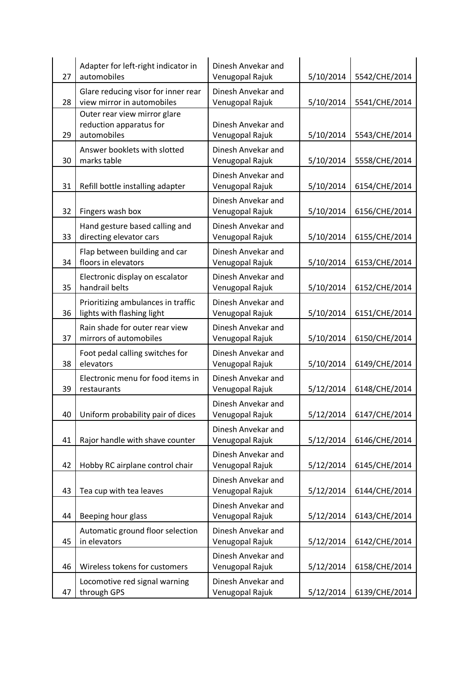| 27 | Adapter for left-right indicator in<br>automobiles                     | Dinesh Anvekar and<br>Venugopal Rajuk | 5/10/2014 | 5542/CHE/2014 |
|----|------------------------------------------------------------------------|---------------------------------------|-----------|---------------|
| 28 | Glare reducing visor for inner rear<br>view mirror in automobiles      | Dinesh Anvekar and<br>Venugopal Rajuk | 5/10/2014 | 5541/CHE/2014 |
| 29 | Outer rear view mirror glare<br>reduction apparatus for<br>automobiles | Dinesh Anvekar and<br>Venugopal Rajuk | 5/10/2014 | 5543/CHE/2014 |
| 30 | Answer booklets with slotted<br>marks table                            | Dinesh Anvekar and<br>Venugopal Rajuk | 5/10/2014 | 5558/CHE/2014 |
| 31 | Refill bottle installing adapter                                       | Dinesh Anvekar and<br>Venugopal Rajuk | 5/10/2014 | 6154/CHE/2014 |
| 32 | Fingers wash box                                                       | Dinesh Anvekar and<br>Venugopal Rajuk | 5/10/2014 | 6156/CHE/2014 |
| 33 | Hand gesture based calling and<br>directing elevator cars              | Dinesh Anvekar and<br>Venugopal Rajuk | 5/10/2014 | 6155/CHE/2014 |
| 34 | Flap between building and car<br>floors in elevators                   | Dinesh Anvekar and<br>Venugopal Rajuk | 5/10/2014 | 6153/CHE/2014 |
| 35 | Electronic display on escalator<br>handrail belts                      | Dinesh Anvekar and<br>Venugopal Rajuk | 5/10/2014 | 6152/CHE/2014 |
| 36 | Prioritizing ambulances in traffic<br>lights with flashing light       | Dinesh Anvekar and<br>Venugopal Rajuk | 5/10/2014 | 6151/CHE/2014 |
| 37 | Rain shade for outer rear view<br>mirrors of automobiles               | Dinesh Anvekar and<br>Venugopal Rajuk | 5/10/2014 | 6150/CHE/2014 |
| 38 | Foot pedal calling switches for<br>elevators                           | Dinesh Anvekar and<br>Venugopal Rajuk | 5/10/2014 | 6149/CHE/2014 |
| 39 | Electronic menu for food items in<br>restaurants                       | Dinesh Anvekar and<br>Venugopal Rajuk | 5/12/2014 | 6148/CHE/2014 |
| 40 | Uniform probability pair of dices                                      | Dinesh Anvekar and<br>Venugopal Rajuk | 5/12/2014 | 6147/CHE/2014 |
| 41 | Rajor handle with shave counter                                        | Dinesh Anvekar and<br>Venugopal Rajuk | 5/12/2014 | 6146/CHE/2014 |
| 42 | Hobby RC airplane control chair                                        | Dinesh Anvekar and<br>Venugopal Rajuk | 5/12/2014 | 6145/CHE/2014 |
| 43 | Tea cup with tea leaves                                                | Dinesh Anvekar and<br>Venugopal Rajuk | 5/12/2014 | 6144/CHE/2014 |
| 44 | Beeping hour glass                                                     | Dinesh Anvekar and<br>Venugopal Rajuk | 5/12/2014 | 6143/CHE/2014 |
| 45 | Automatic ground floor selection<br>in elevators                       | Dinesh Anvekar and<br>Venugopal Rajuk | 5/12/2014 | 6142/CHE/2014 |
| 46 | Wireless tokens for customers                                          | Dinesh Anvekar and<br>Venugopal Rajuk | 5/12/2014 | 6158/CHE/2014 |
| 47 | Locomotive red signal warning<br>through GPS                           | Dinesh Anvekar and<br>Venugopal Rajuk | 5/12/2014 | 6139/CHE/2014 |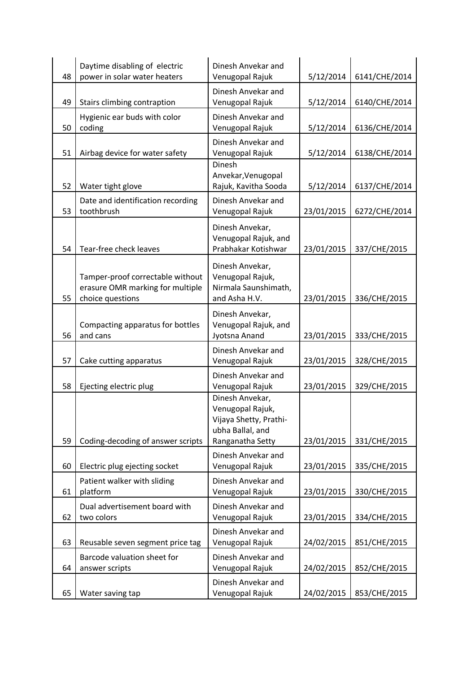| 48 | Daytime disabling of electric<br>power in solar water heaters                            | Dinesh Anvekar and<br>Venugopal Rajuk                                                                 | 5/12/2014  | 6141/CHE/2014 |
|----|------------------------------------------------------------------------------------------|-------------------------------------------------------------------------------------------------------|------------|---------------|
| 49 | Stairs climbing contraption                                                              | Dinesh Anvekar and<br>Venugopal Rajuk                                                                 | 5/12/2014  | 6140/CHE/2014 |
| 50 | Hygienic ear buds with color<br>coding                                                   | Dinesh Anvekar and<br>Venugopal Rajuk                                                                 | 5/12/2014  | 6136/CHE/2014 |
| 51 | Airbag device for water safety                                                           | Dinesh Anvekar and<br>Venugopal Rajuk                                                                 | 5/12/2014  | 6138/CHE/2014 |
| 52 | Water tight glove                                                                        | Dinesh<br>Anvekar, Venugopal<br>Rajuk, Kavitha Sooda                                                  | 5/12/2014  | 6137/CHE/2014 |
| 53 | Date and identification recording<br>toothbrush                                          | Dinesh Anvekar and<br>Venugopal Rajuk                                                                 | 23/01/2015 | 6272/CHE/2014 |
| 54 | Tear-free check leaves                                                                   | Dinesh Anvekar,<br>Venugopal Rajuk, and<br>Prabhakar Kotishwar                                        | 23/01/2015 | 337/CHE/2015  |
| 55 | Tamper-proof correctable without<br>erasure OMR marking for multiple<br>choice questions | Dinesh Anvekar,<br>Venugopal Rajuk,<br>Nirmala Saunshimath,<br>and Asha H.V.                          | 23/01/2015 | 336/CHE/2015  |
| 56 | Compacting apparatus for bottles<br>and cans                                             | Dinesh Anvekar,<br>Venugopal Rajuk, and<br>Jyotsna Anand                                              | 23/01/2015 | 333/CHE/2015  |
| 57 | Cake cutting apparatus                                                                   | Dinesh Anvekar and<br>Venugopal Rajuk                                                                 | 23/01/2015 | 328/CHE/2015  |
| 58 | Ejecting electric plug                                                                   | Dinesh Anvekar and<br>Venugopal Rajuk                                                                 | 23/01/2015 | 329/CHE/2015  |
| 59 | Coding-decoding of answer scripts                                                        | Dinesh Anvekar,<br>Venugopal Rajuk,<br>Vijaya Shetty, Prathi-<br>ubha Ballal, and<br>Ranganatha Setty | 23/01/2015 | 331/CHE/2015  |
| 60 | Electric plug ejecting socket                                                            | Dinesh Anvekar and<br>Venugopal Rajuk                                                                 | 23/01/2015 | 335/CHE/2015  |
| 61 | Patient walker with sliding<br>platform                                                  | Dinesh Anvekar and<br>Venugopal Rajuk                                                                 | 23/01/2015 | 330/CHE/2015  |
| 62 | Dual advertisement board with<br>two colors                                              | Dinesh Anvekar and<br>Venugopal Rajuk                                                                 | 23/01/2015 | 334/CHE/2015  |
| 63 | Reusable seven segment price tag                                                         | Dinesh Anvekar and<br>Venugopal Rajuk                                                                 | 24/02/2015 | 851/CHE/2015  |
| 64 | Barcode valuation sheet for<br>answer scripts                                            | Dinesh Anvekar and<br>Venugopal Rajuk                                                                 | 24/02/2015 | 852/CHE/2015  |
| 65 | Water saving tap                                                                         | Dinesh Anvekar and<br>Venugopal Rajuk                                                                 | 24/02/2015 | 853/CHE/2015  |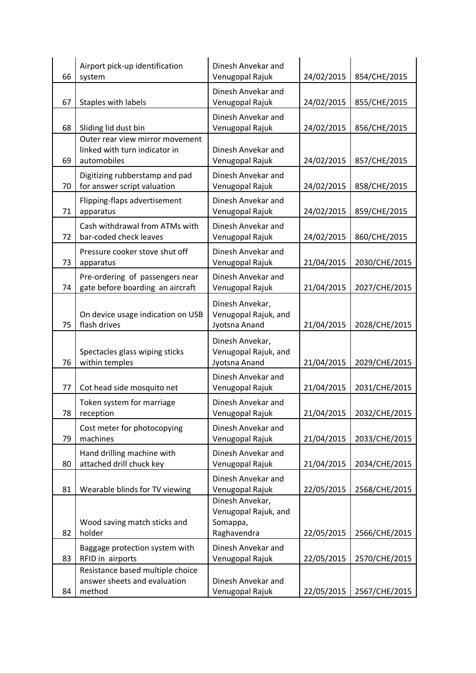| 66 | Airport pick-up identification<br>system                                        | Dinesh Anvekar and<br>Venugopal Rajuk                              | 24/02/2015 | 854/CHE/2015  |
|----|---------------------------------------------------------------------------------|--------------------------------------------------------------------|------------|---------------|
| 67 | Staples with labels                                                             | Dinesh Anvekar and<br>Venugopal Rajuk                              | 24/02/2015 | 855/CHE/2015  |
| 68 | Sliding lid dust bin                                                            | Dinesh Anvekar and<br>Venugopal Rajuk                              | 24/02/2015 | 856/CHE/2015  |
| 69 | Outer rear view mirror movement<br>linked with turn indicator in<br>automobiles | Dinesh Anvekar and<br>Venugopal Rajuk                              | 24/02/2015 | 857/CHE/2015  |
| 70 | Digitizing rubberstamp and pad<br>for answer script valuation                   | Dinesh Anvekar and<br>Venugopal Rajuk                              | 24/02/2015 | 858/CHE/2015  |
| 71 | Flipping-flaps advertisement<br>apparatus                                       | Dinesh Anvekar and<br>Venugopal Rajuk                              | 24/02/2015 | 859/CHE/2015  |
| 72 | Cash withdrawal from ATMs with<br>bar-coded check leaves                        | Dinesh Anvekar and<br>Venugopal Rajuk                              | 24/02/2015 | 860/CHE/2015  |
| 73 | Pressure cooker stove shut off<br>apparatus                                     | Dinesh Anvekar and<br>Venugopal Rajuk                              | 21/04/2015 | 2030/CHE/2015 |
| 74 | Pre-ordering of passengers near<br>gate before boarding an aircraft             | Dinesh Anvekar and<br>Venugopal Rajuk                              | 21/04/2015 | 2027/CHE/2015 |
| 75 | On device usage indication on USB<br>flash drives                               | Dinesh Anvekar,<br>Venugopal Rajuk, and<br>Jyotsna Anand           | 21/04/2015 | 2028/CHE/2015 |
| 76 | Spectacles glass wiping sticks<br>within temples                                | Dinesh Anvekar,<br>Venugopal Rajuk, and<br>Jyotsna Anand           | 21/04/2015 | 2029/CHE/2015 |
| 77 | Cot head side mosquito net                                                      | Dinesh Anvekar and<br>Venugopal Rajuk                              | 21/04/2015 | 2031/CHE/2015 |
| 78 | Token system for marriage<br>reception                                          | Dinesh Anvekar and<br>Venugopal Rajuk                              | 21/04/2015 | 2032/CHE/2015 |
| 79 | Cost meter for photocopying<br>machines                                         | Dinesh Anvekar and<br>Venugopal Rajuk                              | 21/04/2015 | 2033/CHE/2015 |
| 80 | Hand drilling machine with<br>attached drill chuck key                          | Dinesh Anvekar and<br>Venugopal Rajuk                              | 21/04/2015 | 2034/CHE/2015 |
| 81 | Wearable blinds for TV viewing                                                  | Dinesh Anvekar and<br>Venugopal Rajuk                              | 22/05/2015 | 2568/CHE/2015 |
| 82 | Wood saving match sticks and<br>holder                                          | Dinesh Anvekar,<br>Venugopal Rajuk, and<br>Somappa,<br>Raghavendra | 22/05/2015 | 2566/CHE/2015 |
| 83 | Baggage protection system with<br>RFID in airports                              | Dinesh Anvekar and<br>Venugopal Rajuk                              | 22/05/2015 | 2570/CHE/2015 |
| 84 | Resistance based multiple choice<br>answer sheets and evaluation<br>method      | Dinesh Anvekar and<br>Venugopal Rajuk                              | 22/05/2015 | 2567/CHE/2015 |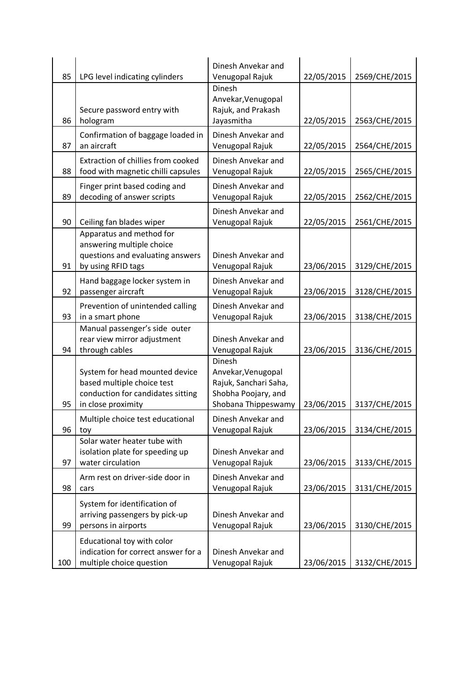| 85  | LPG level indicating cylinders                                                                                          | Dinesh Anvekar and<br>Venugopal Rajuk                                                               | 22/05/2015 | 2569/CHE/2015 |
|-----|-------------------------------------------------------------------------------------------------------------------------|-----------------------------------------------------------------------------------------------------|------------|---------------|
| 86  | Secure password entry with<br>hologram                                                                                  | Dinesh<br>Anvekar, Venugopal<br>Rajuk, and Prakash<br>Jayasmitha                                    | 22/05/2015 | 2563/CHE/2015 |
| 87  | Confirmation of baggage loaded in<br>an aircraft                                                                        | Dinesh Anvekar and<br>Venugopal Rajuk                                                               | 22/05/2015 | 2564/CHE/2015 |
| 88  | Extraction of chillies from cooked<br>food with magnetic chilli capsules                                                | Dinesh Anvekar and<br>Venugopal Rajuk                                                               | 22/05/2015 | 2565/CHE/2015 |
| 89  | Finger print based coding and<br>decoding of answer scripts                                                             | Dinesh Anvekar and<br>Venugopal Rajuk                                                               | 22/05/2015 | 2562/CHE/2015 |
| 90  | Ceiling fan blades wiper                                                                                                | Dinesh Anvekar and<br>Venugopal Rajuk                                                               | 22/05/2015 | 2561/CHE/2015 |
| 91  | Apparatus and method for<br>answering multiple choice<br>questions and evaluating answers<br>by using RFID tags         | Dinesh Anvekar and<br>Venugopal Rajuk                                                               | 23/06/2015 | 3129/CHE/2015 |
| 92  | Hand baggage locker system in<br>passenger aircraft                                                                     | Dinesh Anvekar and<br>Venugopal Rajuk                                                               | 23/06/2015 | 3128/CHE/2015 |
| 93  | Prevention of unintended calling<br>in a smart phone                                                                    | Dinesh Anvekar and<br>Venugopal Rajuk                                                               | 23/06/2015 | 3138/CHE/2015 |
| 94  | Manual passenger's side outer<br>rear view mirror adjustment<br>through cables                                          | Dinesh Anvekar and<br>Venugopal Rajuk                                                               | 23/06/2015 | 3136/CHE/2015 |
| 95  | System for head mounted device<br>based multiple choice test<br>conduction for candidates sitting<br>in close proximity | Dinesh<br>Anvekar, Venugopal<br>Rajuk, Sanchari Saha,<br>Shobha Poojary, and<br>Shobana Thippeswamy | 23/06/2015 | 3137/CHE/2015 |
| 96  | Multiple choice test educational<br>toy                                                                                 | Dinesh Anvekar and<br>Venugopal Rajuk                                                               | 23/06/2015 | 3134/CHE/2015 |
| 97  | Solar water heater tube with<br>isolation plate for speeding up<br>water circulation                                    | Dinesh Anvekar and<br>Venugopal Rajuk                                                               | 23/06/2015 | 3133/CHE/2015 |
| 98  | Arm rest on driver-side door in<br>cars                                                                                 | Dinesh Anvekar and<br>Venugopal Rajuk                                                               | 23/06/2015 | 3131/CHE/2015 |
| 99  | System for identification of<br>arriving passengers by pick-up<br>persons in airports                                   | Dinesh Anvekar and<br>Venugopal Rajuk                                                               | 23/06/2015 | 3130/CHE/2015 |
| 100 | Educational toy with color<br>indication for correct answer for a<br>multiple choice question                           | Dinesh Anvekar and<br>Venugopal Rajuk                                                               | 23/06/2015 | 3132/CHE/2015 |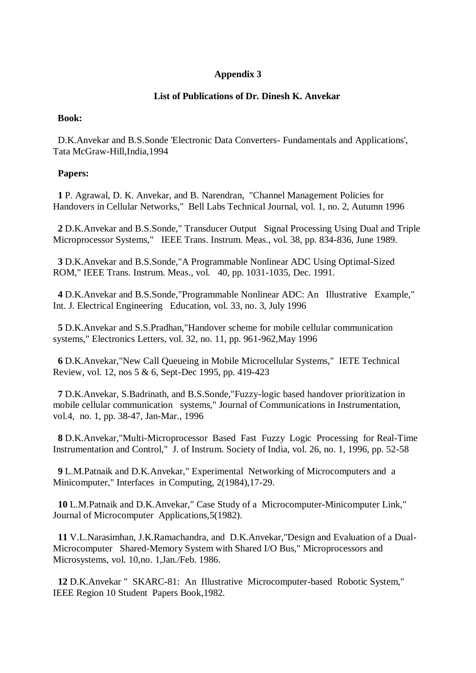## **Appendix 3**

## **List of Publications of Dr. Dinesh K. Anvekar**

### **Book:**

 D.K.Anvekar and B.S.Sonde 'Electronic Data Converters- Fundamentals and Applications', Tata McGraw-Hill,India,1994

### **Papers:**

 **1** P. Agrawal, D. K. Anvekar, and B. Narendran, "Channel Management Policies for Handovers in Cellular Networks," Bell Labs Technical Journal, vol. 1, no. 2, Autumn 1996

 **2** D.K.Anvekar and B.S.Sonde," Transducer Output Signal Processing Using Dual and Triple Microprocessor Systems," IEEE Trans. Instrum. Meas., vol. 38, pp. 834-836, June 1989.

 **3** D.K.Anvekar and B.S.Sonde,"A Programmable Nonlinear ADC Using Optimal-Sized ROM," IEEE Trans. Instrum. Meas., vol. 40, pp. 1031-1035, Dec. 1991.

 **4** D.K.Anvekar and B.S.Sonde,"Programmable Nonlinear ADC: An Illustrative Example," Int. J. Electrical Engineering Education, vol. 33, no. 3, July 1996

 **5** D.K.Anvekar and S.S.Pradhan,"Handover scheme for mobile cellular communication systems," Electronics Letters, vol. 32, no. 11, pp. 961-962,May 1996

 **6** D.K.Anvekar,"New Call Queueing in Mobile Microcellular Systems," IETE Technical Review, vol. 12, nos 5 & 6, Sept-Dec 1995, pp. 419-423

 **7** D.K.Anvekar, S.Badrinath, and B.S.Sonde,"Fuzzy-logic based handover prioritization in mobile cellular communication systems," Journal of Communications in Instrumentation, vol.4, no. 1, pp. 38-47, Jan-Mar., 1996

 **8** D.K.Anvekar,"Multi-Microprocessor Based Fast Fuzzy Logic Processing for Real-Time Instrumentation and Control," J. of Instrum. Society of India, vol. 26, no. 1, 1996, pp. 52-58

 **9** L.M.Patnaik and D.K.Anvekar," Experimental Networking of Microcomputers and a Minicomputer," Interfaces in Computing, 2(1984),17-29.

 **10** L.M.Patnaik and D.K.Anvekar," Case Study of a Microcomputer-Minicomputer Link," Journal of Microcomputer Applications,5(1982).

 **11** V.L.Narasimhan, J.K.Ramachandra, and D.K.Anvekar,"Design and Evaluation of a Dual-Microcomputer Shared-Memory System with Shared I/O Bus," Microprocessors and Microsystems, vol. 10,no. 1,Jan./Feb. 1986.

 **12** D.K.Anvekar " SKARC-81: An Illustrative Microcomputer-based Robotic System," IEEE Region 10 Student Papers Book,1982.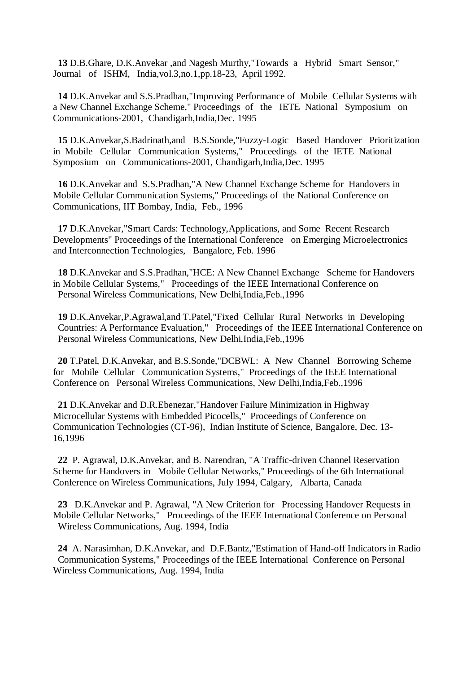**13** D.B.Ghare, D.K.Anvekar ,and Nagesh Murthy,"Towards a Hybrid Smart Sensor," Journal of ISHM, India,vol.3,no.1,pp.18-23, April 1992.

 **14** D.K.Anvekar and S.S.Pradhan,"Improving Performance of Mobile Cellular Systems with a New Channel Exchange Scheme," Proceedings of the IETE National Symposium on Communications-2001, Chandigarh,India,Dec. 1995

 **15** D.K.Anvekar,S.Badrinath,and B.S.Sonde,"Fuzzy-Logic Based Handover Prioritization in Mobile Cellular Communication Systems," Proceedings of the IETE National Symposium on Communications-2001, Chandigarh,India,Dec. 1995

 **16** D.K.Anvekar and S.S.Pradhan,"A New Channel Exchange Scheme for Handovers in Mobile Cellular Communication Systems," Proceedings of the National Conference on Communications, IIT Bombay, India, Feb., 1996

 **17** D.K.Anvekar,"Smart Cards: Technology,Applications, and Some Recent Research Developments" Proceedings of the International Conference on Emerging Microelectronics and Interconnection Technologies, Bangalore, Feb. 1996

 **18** D.K.Anvekar and S.S.Pradhan,"HCE: A New Channel Exchange Scheme for Handovers in Mobile Cellular Systems," Proceedings of the IEEE International Conference on Personal Wireless Communications, New Delhi,India,Feb.,1996

 **19** D.K.Anvekar,P.Agrawal,and T.Patel,"Fixed Cellular Rural Networks in Developing Countries: A Performance Evaluation," Proceedings of the IEEE International Conference on Personal Wireless Communications, New Delhi,India,Feb.,1996

 **20** T.Patel, D.K.Anvekar, and B.S.Sonde,"DCBWL: A New Channel Borrowing Scheme for Mobile Cellular Communication Systems," Proceedings of the IEEE International Conference on Personal Wireless Communications, New Delhi,India,Feb.,1996

 **21** D.K.Anvekar and D.R.Ebenezar,"Handover Failure Minimization in Highway Microcellular Systems with Embedded Picocells," Proceedings of Conference on Communication Technologies (CT-96), Indian Institute of Science, Bangalore, Dec. 13- 16,1996

 **22** P. Agrawal, D.K.Anvekar, and B. Narendran, "A Traffic-driven Channel Reservation Scheme for Handovers in Mobile Cellular Networks," Proceedings of the 6th International Conference on Wireless Communications, July 1994, Calgary, Albarta, Canada

 **23** D.K.Anvekar and P. Agrawal, "A New Criterion for Processing Handover Requests in Mobile Cellular Networks," Proceedings of the IEEE International Conference on Personal Wireless Communications, Aug. 1994, India

 **24** A. Narasimhan, D.K.Anvekar, and D.F.Bantz,"Estimation of Hand-off Indicators in Radio Communication Systems," Proceedings of the IEEE International Conference on Personal Wireless Communications, Aug. 1994, India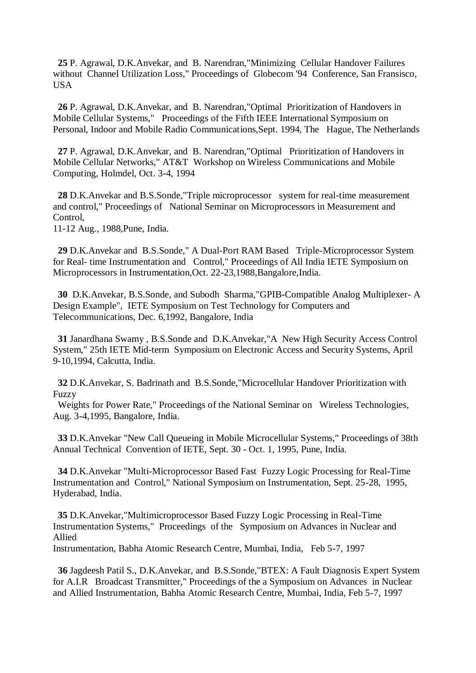**25** P. Agrawal, D.K.Anvekar, and B. Narendran,"Minimizing Cellular Handover Failures without Channel Utilization Loss," Proceedings of Globecom '94 Conference, San Fransisco, **USA** 

 **26** P. Agrawal, D.K.Anvekar, and B. Narendran,"Optimal Prioritization of Handovers in Mobile Cellular Systems," Proceedings of the Fifth IEEE International Symposium on Personal, Indoor and Mobile Radio Communications,Sept. 1994, The Hague, The Netherlands

 **27** P. Agrawal, D.K.Anvekar, and B. Narendran,"Optimal Prioritization of Handovers in Mobile Cellular Networks," AT&T Workshop on Wireless Communications and Mobile Computing, Holmdel, Oct. 3-4, 1994

 **28** D.K.Anvekar and B.S.Sonde,"Triple microprocessor system for real-time measurement and control," Proceedings of National Seminar on Microprocessors in Measurement and Control,

11-12 Aug., 1988,Pune, India.

 **29** D.K.Anvekar and B.S.Sonde," A Dual-Port RAM Based Triple-Microprocessor System for Real- time Instrumentation and Control," Proceedings of All India IETE Symposium on Microprocessors in Instrumentation,Oct. 22-23,1988,Bangalore,India.

 **30** D.K.Anvekar, B.S.Sonde, and Subodh Sharma,"GPIB-Compatible Analog Multiplexer- A Design Example", IETE Symposium on Test Technology for Computers and Telecommunications, Dec. 6,1992, Bangalore, India

 **31** Janardhana Swamy , B.S.Sonde and D.K.Anvekar,"A New High Security Access Control System," 25th IETE Mid-term Symposium on Electronic Access and Security Systems, April 9-10,1994, Calcutta, India.

 **32** D.K.Anvekar, S. Badrinath and B.S.Sonde,"Microcellular Handover Prioritization with Fuzzy

 Weights for Power Rate," Proceedings of the National Seminar on Wireless Technologies, Aug. 3-4,1995, Bangalore, India.

 **33** D.K.Anvekar "New Call Queueing in Mobile Microcellular Systems," Proceedings of 38th Annual Technical Convention of IETE, Sept. 30 - Oct. 1, 1995, Pune, India.

 **34** D.K.Anvekar "Multi-Microprocessor Based Fast Fuzzy Logic Processing for Real-Time Instrumentation and Control," National Symposium on Instrumentation, Sept. 25-28, 1995, Hyderabad, India.

 **35** D.K.Anvekar,"Multimicroprocessor Based Fuzzy Logic Processing in Real-Time Instrumentation Systems," Proceedings of the Symposium on Advances in Nuclear and Allied

Instrumentation, Babha Atomic Research Centre, Mumbai, India, Feb 5-7, 1997

 **36** Jagdeesh Patil S., D.K.Anvekar, and B.S.Sonde,"BTEX: A Fault Diagnosis Expert System for A.I.R Broadcast Transmitter," Proceedings of the a Symposium on Advances in Nuclear and Allied Instrumentation, Babha Atomic Research Centre, Mumbai, India, Feb 5-7, 1997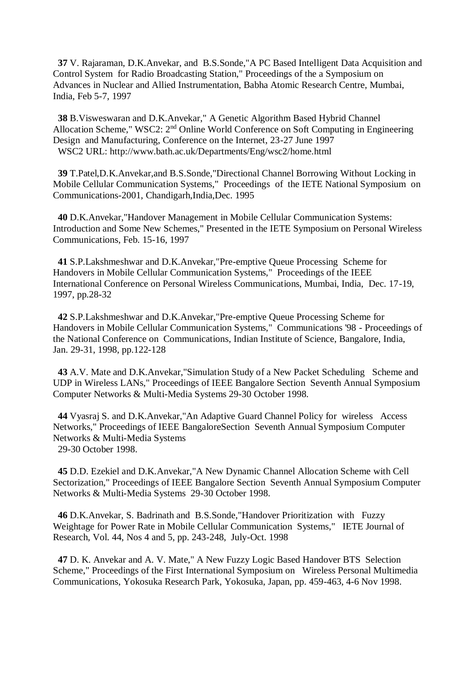**37** V. Rajaraman, D.K.Anvekar, and B.S.Sonde,"A PC Based Intelligent Data Acquisition and Control System for Radio Broadcasting Station," Proceedings of the a Symposium on Advances in Nuclear and Allied Instrumentation, Babha Atomic Research Centre, Mumbai, India, Feb 5-7, 1997

 **38** B.Visweswaran and D.K.Anvekar," A Genetic Algorithm Based Hybrid Channel Allocation Scheme," WSC2: 2nd Online World Conference on Soft Computing in Engineering Design and Manufacturing, Conference on the Internet, 23-27 June 1997 WSC2 URL: http://www.bath.ac.uk/Departments/Eng/wsc2/home.html

 **39** T.Patel,D.K.Anvekar,and B.S.Sonde,"Directional Channel Borrowing Without Locking in Mobile Cellular Communication Systems," Proceedings of the IETE National Symposium on Communications-2001, Chandigarh,India,Dec. 1995

 **40** D.K.Anvekar,"Handover Management in Mobile Cellular Communication Systems: Introduction and Some New Schemes," Presented in the IETE Symposium on Personal Wireless Communications, Feb. 15-16, 1997

 **41** S.P.Lakshmeshwar and D.K.Anvekar,"Pre-emptive Queue Processing Scheme for Handovers in Mobile Cellular Communication Systems," Proceedings of the IEEE International Conference on Personal Wireless Communications, Mumbai, India, Dec. 17-19, 1997, pp.28-32

 **42** S.P.Lakshmeshwar and D.K.Anvekar,"Pre-emptive Queue Processing Scheme for Handovers in Mobile Cellular Communication Systems," Communications '98 - Proceedings of the National Conference on Communications, Indian Institute of Science, Bangalore, India, Jan. 29-31, 1998, pp.122-128

**43** A.V. Mate and D.K.Anvekar, "Simulation Study of a New Packet Scheduling Scheme and UDP in Wireless LANs," Proceedings of IEEE Bangalore Section Seventh Annual Symposium Computer Networks & Multi-Media Systems 29-30 October 1998.

 **44** Vyasraj S. and D.K.Anvekar,"An Adaptive Guard Channel Policy for wireless Access Networks," Proceedings of IEEE BangaloreSection Seventh Annual Symposium Computer Networks & Multi-Media Systems 29-30 October 1998.

 **45** D.D. Ezekiel and D.K.Anvekar,"A New Dynamic Channel Allocation Scheme with Cell Sectorization," Proceedings of IEEE Bangalore Section Seventh Annual Symposium Computer Networks & Multi-Media Systems 29-30 October 1998.

 **46** D.K.Anvekar, S. Badrinath and B.S.Sonde,"Handover Prioritization with Fuzzy Weightage for Power Rate in Mobile Cellular Communication Systems," IETE Journal of Research, Vol. 44, Nos 4 and 5, pp. 243-248, July-Oct. 1998

 **47** D. K. Anvekar and A. V. Mate," A New Fuzzy Logic Based Handover BTS Selection Scheme," Proceedings of the First International Symposium on Wireless Personal Multimedia Communications, Yokosuka Research Park, Yokosuka, Japan, pp. 459-463, 4-6 Nov 1998.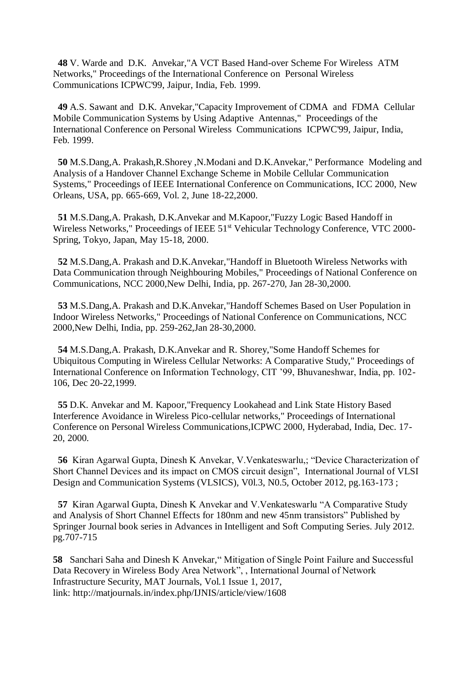**48** V. Warde and D.K. Anvekar,"A VCT Based Hand-over Scheme For Wireless ATM Networks," Proceedings of the International Conference on Personal Wireless Communications ICPWC'99, Jaipur, India, Feb. 1999.

 **49** A.S. Sawant and D.K. Anvekar,"Capacity Improvement of CDMA and FDMA Cellular Mobile Communication Systems by Using Adaptive Antennas," Proceedings of the International Conference on Personal Wireless Communications ICPWC'99, Jaipur, India, Feb. 1999.

 **50** M.S.Dang,A. Prakash,R.Shorey ,N.Modani and D.K.Anvekar," Performance Modeling and Analysis of a Handover Channel Exchange Scheme in Mobile Cellular Communication Systems," Proceedings of IEEE International Conference on Communications, ICC 2000, New Orleans, USA, pp. 665-669, Vol. 2, June 18-22,2000.

 **51** M.S.Dang,A. Prakash, D.K.Anvekar and M.Kapoor,"Fuzzy Logic Based Handoff in Wireless Networks," Proceedings of IEEE 51<sup>st</sup> Vehicular Technology Conference, VTC 2000-Spring, Tokyo, Japan, May 15-18, 2000.

 **52** M.S.Dang,A. Prakash and D.K.Anvekar,"Handoff in Bluetooth Wireless Networks with Data Communication through Neighbouring Mobiles," Proceedings of National Conference on Communications, NCC 2000,New Delhi, India, pp. 267-270, Jan 28-30,2000.

 **53** M.S.Dang,A. Prakash and D.K.Anvekar,"Handoff Schemes Based on User Population in Indoor Wireless Networks," Proceedings of National Conference on Communications, NCC 2000,New Delhi, India, pp. 259-262,Jan 28-30,2000.

 **54** M.S.Dang,A. Prakash, D.K.Anvekar and R. Shorey,"Some Handoff Schemes for Ubiquitous Computing in Wireless Cellular Networks: A Comparative Study," Proceedings of International Conference on Information Technology, CIT '99, Bhuvaneshwar, India, pp. 102- 106, Dec 20-22,1999.

 **55** D.K. Anvekar and M. Kapoor,"Frequency Lookahead and Link State History Based Interference Avoidance in Wireless Pico-cellular networks," Proceedings of International Conference on Personal Wireless Communications,ICPWC 2000, Hyderabad, India, Dec. 17- 20, 2000.

 **56** Kiran Agarwal Gupta, Dinesh K Anvekar, V.Venkateswarlu,; "Device Characterization of Short Channel Devices and its impact on CMOS circuit design", International Journal of VLSI Design and Communication Systems (VLSICS), V0l.3, N0.5, October 2012, pg.163-173 ;

 **57** Kiran Agarwal Gupta, Dinesh K Anvekar and V.Venkateswarlu "A Comparative Study and Analysis of Short Channel Effects for 180nm and new 45nm transistors" Published by Springer Journal book series in Advances in Intelligent and Soft Computing Series. July 2012. pg.707-715

**58** Sanchari Saha and Dinesh K Anvekar," Mitigation of Single Point Failure and Successful Data Recovery in Wireless Body Area Network", , International Journal of Network Infrastructure Security, MAT Journals, Vol.1 Issue 1, 2017, link: <http://matjournals.in/index.php/IJNIS/article/view/1608>